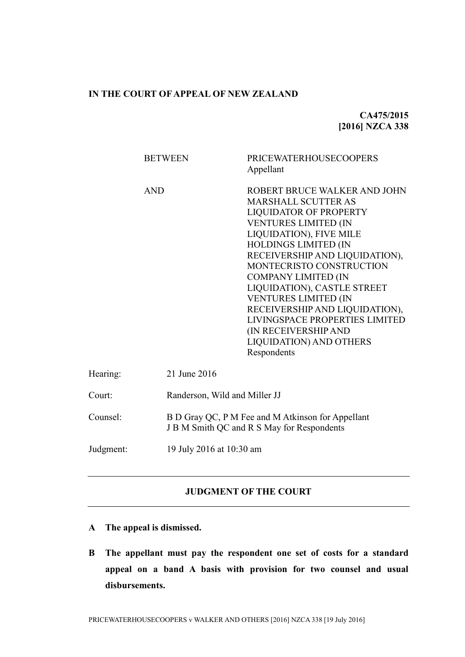## **IN THE COURT OF APPEAL OF NEW ZEALAND**

**CA475/2015 [2016] NZCA 338**

|           | <b>BETWEEN</b> | <b>PRICEWATERHOUSECOOPERS</b><br>Appellant                                                                                                                                                                                                                                                                                                                                                                                                                                    |  |
|-----------|----------------|-------------------------------------------------------------------------------------------------------------------------------------------------------------------------------------------------------------------------------------------------------------------------------------------------------------------------------------------------------------------------------------------------------------------------------------------------------------------------------|--|
|           | <b>AND</b>     | ROBERT BRUCE WALKER AND JOHN<br><b>MARSHALL SCUTTER AS</b><br><b>LIQUIDATOR OF PROPERTY</b><br><b>VENTURES LIMITED (IN</b><br>LIQUIDATION), FIVE MILE<br>HOLDINGS LIMITED (IN<br>RECEIVERSHIP AND LIQUIDATION),<br>MONTECRISTO CONSTRUCTION<br><b>COMPANY LIMITED (IN</b><br>LIQUIDATION), CASTLE STREET<br><b>VENTURES LIMITED (IN</b><br>RECEIVERSHIP AND LIQUIDATION),<br>LIVINGSPACE PROPERTIES LIMITED<br>(IN RECEIVERSHIP AND<br>LIQUIDATION) AND OTHERS<br>Respondents |  |
| Hearing:  | 21 June 2016   |                                                                                                                                                                                                                                                                                                                                                                                                                                                                               |  |
| Court:    |                | Randerson, Wild and Miller JJ                                                                                                                                                                                                                                                                                                                                                                                                                                                 |  |
| Counsel:  |                | B D Gray QC, P M Fee and M Atkinson for Appellant<br>J B M Smith QC and R S May for Respondents                                                                                                                                                                                                                                                                                                                                                                               |  |
| Judgment: |                | 19 July 2016 at 10:30 am                                                                                                                                                                                                                                                                                                                                                                                                                                                      |  |

# **JUDGMENT OF THE COURT**

- **A The appeal is dismissed.**
- **B The appellant must pay the respondent one set of costs for a standard appeal on a band A basis with provision for two counsel and usual disbursements.**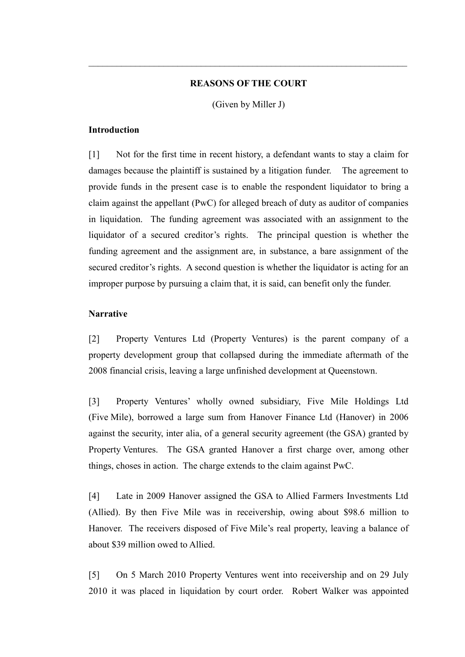### **REASONS OF THE COURT**

 $\mathcal{L}_\mathcal{L} = \{ \mathcal{L}_\mathcal{L} = \{ \mathcal{L}_\mathcal{L} = \{ \mathcal{L}_\mathcal{L} = \{ \mathcal{L}_\mathcal{L} = \{ \mathcal{L}_\mathcal{L} = \{ \mathcal{L}_\mathcal{L} = \{ \mathcal{L}_\mathcal{L} = \{ \mathcal{L}_\mathcal{L} = \{ \mathcal{L}_\mathcal{L} = \{ \mathcal{L}_\mathcal{L} = \{ \mathcal{L}_\mathcal{L} = \{ \mathcal{L}_\mathcal{L} = \{ \mathcal{L}_\mathcal{L} = \{ \mathcal{L}_\mathcal{$ 

(Given by Miller J)

#### **Introduction**

[1] Not for the first time in recent history, a defendant wants to stay a claim for damages because the plaintiff is sustained by a litigation funder. The agreement to provide funds in the present case is to enable the respondent liquidator to bring a claim against the appellant (PwC) for alleged breach of duty as auditor of companies in liquidation. The funding agreement was associated with an assignment to the liquidator of a secured creditor's rights. The principal question is whether the funding agreement and the assignment are, in substance, a bare assignment of the secured creditor's rights. A second question is whether the liquidator is acting for an improper purpose by pursuing a claim that, it is said, can benefit only the funder.

## **Narrative**

[2] Property Ventures Ltd (Property Ventures) is the parent company of a property development group that collapsed during the immediate aftermath of the 2008 financial crisis, leaving a large unfinished development at Queenstown.

[3] Property Ventures' wholly owned subsidiary, Five Mile Holdings Ltd (Five Mile), borrowed a large sum from Hanover Finance Ltd (Hanover) in 2006 against the security, inter alia, of a general security agreement (the GSA) granted by Property Ventures. The GSA granted Hanover a first charge over, among other things, choses in action. The charge extends to the claim against PwC.

[4] Late in 2009 Hanover assigned the GSA to Allied Farmers Investments Ltd (Allied). By then Five Mile was in receivership, owing about \$98.6 million to Hanover. The receivers disposed of Five Mile's real property, leaving a balance of about \$39 million owed to Allied.

[5] On 5 March 2010 Property Ventures went into receivership and on 29 July 2010 it was placed in liquidation by court order. Robert Walker was appointed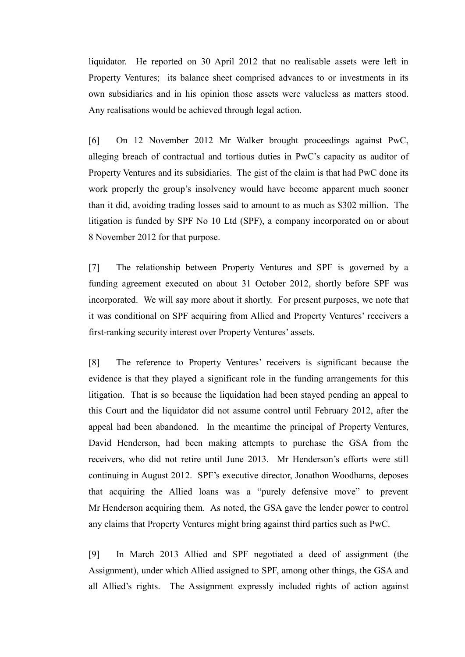liquidator. He reported on 30 April 2012 that no realisable assets were left in Property Ventures; its balance sheet comprised advances to or investments in its own subsidiaries and in his opinion those assets were valueless as matters stood. Any realisations would be achieved through legal action.

[6] On 12 November 2012 Mr Walker brought proceedings against PwC, alleging breach of contractual and tortious duties in PwC's capacity as auditor of Property Ventures and its subsidiaries. The gist of the claim is that had PwC done its work properly the group's insolvency would have become apparent much sooner than it did, avoiding trading losses said to amount to as much as \$302 million. The litigation is funded by SPF No 10 Ltd (SPF), a company incorporated on or about 8 November 2012 for that purpose.

[7] The relationship between Property Ventures and SPF is governed by a funding agreement executed on about 31 October 2012, shortly before SPF was incorporated. We will say more about it shortly. For present purposes, we note that it was conditional on SPF acquiring from Allied and Property Ventures' receivers a first-ranking security interest over Property Ventures' assets.

[8] The reference to Property Ventures' receivers is significant because the evidence is that they played a significant role in the funding arrangements for this litigation. That is so because the liquidation had been stayed pending an appeal to this Court and the liquidator did not assume control until February 2012, after the appeal had been abandoned. In the meantime the principal of Property Ventures, David Henderson, had been making attempts to purchase the GSA from the receivers, who did not retire until June 2013. Mr Henderson's efforts were still continuing in August 2012. SPF's executive director, Jonathon Woodhams, deposes that acquiring the Allied loans was a "purely defensive move" to prevent Mr Henderson acquiring them. As noted, the GSA gave the lender power to control any claims that Property Ventures might bring against third parties such as PwC.

[9] In March 2013 Allied and SPF negotiated a deed of assignment (the Assignment), under which Allied assigned to SPF, among other things, the GSA and all Allied's rights. The Assignment expressly included rights of action against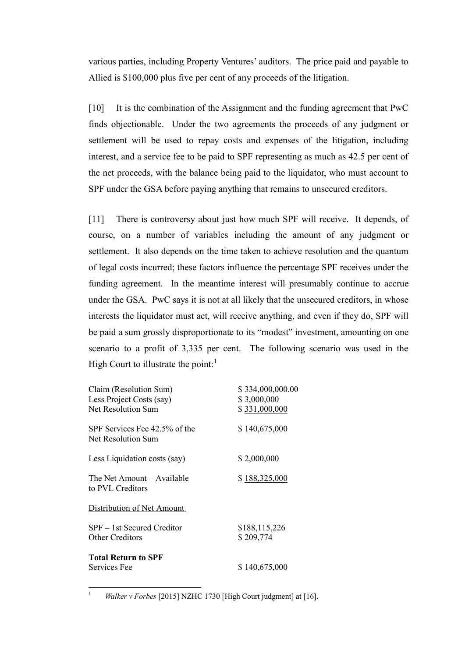various parties, including Property Ventures' auditors. The price paid and payable to Allied is \$100,000 plus five per cent of any proceeds of the litigation.

[10] It is the combination of the Assignment and the funding agreement that PwC finds objectionable. Under the two agreements the proceeds of any judgment or settlement will be used to repay costs and expenses of the litigation, including interest, and a service fee to be paid to SPF representing as much as 42.5 per cent of the net proceeds, with the balance being paid to the liquidator, who must account to SPF under the GSA before paying anything that remains to unsecured creditors.

[11] There is controversy about just how much SPF will receive. It depends, of course, on a number of variables including the amount of any judgment or settlement. It also depends on the time taken to achieve resolution and the quantum of legal costs incurred; these factors influence the percentage SPF receives under the funding agreement. In the meantime interest will presumably continue to accrue under the GSA. PwC says it is not at all likely that the unsecured creditors, in whose interests the liquidator must act, will receive anything, and even if they do, SPF will be paid a sum grossly disproportionate to its "modest" investment, amounting on one scenario to a profit of 3,335 per cent. The following scenario was used in the High Court to illustrate the point: $<sup>1</sup>$ </sup>

<span id="page-3-0"></span>

| Claim (Resolution Sum)<br>Less Project Costs (say)<br>Net Resolution Sum | \$334,000,000.00<br>\$3,000,000<br>\$331,000,000 |
|--------------------------------------------------------------------------|--------------------------------------------------|
| SPF Services Fee 42.5% of the<br>Net Resolution Sum                      | \$140,675,000                                    |
| Less Liquidation costs (say)                                             | \$2,000,000                                      |
| The Net Amount – Available<br>to PVL Creditors                           | \$188,325,000                                    |
| Distribution of Net Amount                                               |                                                  |
| $SPF - 1st$ Secured Creditor<br>Other Creditors                          | \$188,115,226<br>\$209,774                       |
| <b>Total Return to SPF</b><br>Services Fee                               | \$140,675,000                                    |

 $\bar{1}$ <sup>1</sup> *Walker v Forbes* [2015] NZHC 1730 [High Court judgment] at [16].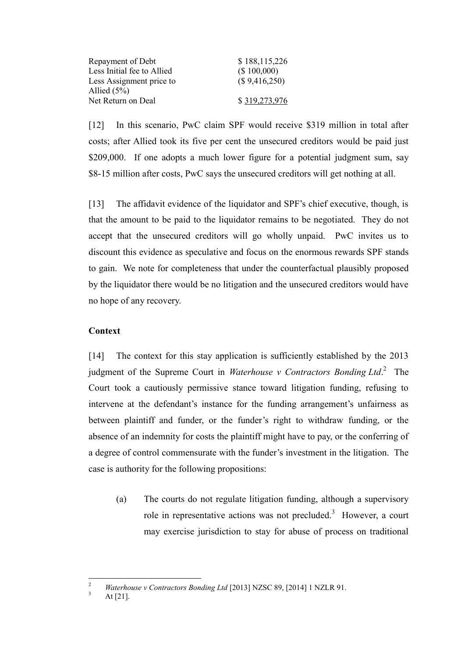| Repayment of Debt          | \$188,115,226 |
|----------------------------|---------------|
| Less Initial fee to Allied | (\$100,000)   |
| Less Assignment price to   | (\$9,416,250) |
| Allied $(5\%)$             |               |
| Net Return on Deal         | \$319,273,976 |

[12] In this scenario, PwC claim SPF would receive \$319 million in total after costs; after Allied took its five per cent the unsecured creditors would be paid just \$209,000. If one adopts a much lower figure for a potential judgment sum, say \$8-15 million after costs, PwC says the unsecured creditors will get nothing at all.

[13] The affidavit evidence of the liquidator and SPF's chief executive, though, is that the amount to be paid to the liquidator remains to be negotiated. They do not accept that the unsecured creditors will go wholly unpaid. PwC invites us to discount this evidence as speculative and focus on the enormous rewards SPF stands to gain. We note for completeness that under the counterfactual plausibly proposed by the liquidator there would be no litigation and the unsecured creditors would have no hope of any recovery.

# **Context**

<span id="page-4-0"></span>[14] The context for this stay application is sufficiently established by the 2013 judgment of the Supreme Court in *Waterhouse v Contractors Bonding Ltd*. 2 The Court took a cautiously permissive stance toward litigation funding, refusing to intervene at the defendant's instance for the funding arrangement's unfairness as between plaintiff and funder, or the funder's right to withdraw funding, or the absence of an indemnity for costs the plaintiff might have to pay, or the conferring of a degree of control commensurate with the funder's investment in the litigation. The case is authority for the following propositions:

(a) The courts do not regulate litigation funding, although a supervisory role in representative actions was not precluded.<sup>3</sup> However, a court may exercise jurisdiction to stay for abuse of process on traditional

 $\overline{2}$ <sup>2</sup> *Waterhouse v Contractors Bonding Ltd* [2013] NZSC 89, [2014] 1 NZLR 91.

At  $[21]$ .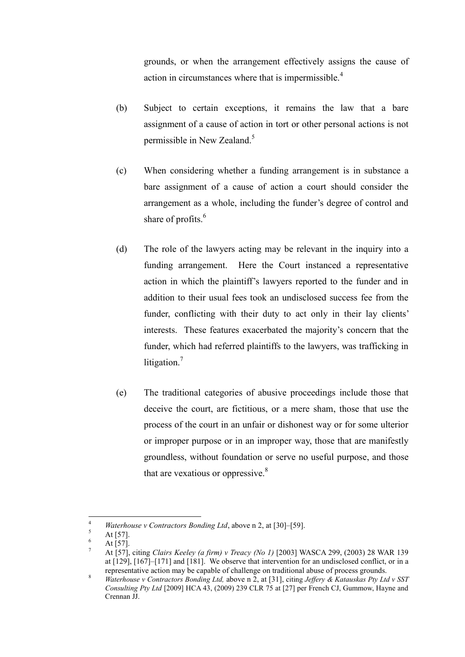grounds, or when the arrangement effectively assigns the cause of action in circumstances where that is impermissible.<sup>4</sup>

- (b) Subject to certain exceptions, it remains the law that a bare assignment of a cause of action in tort or other personal actions is not permissible in New Zealand.<sup>5</sup>
- (c) When considering whether a funding arrangement is in substance a bare assignment of a cause of action a court should consider the arrangement as a whole, including the funder's degree of control and share of profits.<sup>6</sup>
- (d) The role of the lawyers acting may be relevant in the inquiry into a funding arrangement. Here the Court instanced a representative action in which the plaintiff's lawyers reported to the funder and in addition to their usual fees took an undisclosed success fee from the funder, conflicting with their duty to act only in their lay clients' interests. These features exacerbated the majority's concern that the funder, which had referred plaintiffs to the lawyers, was trafficking in litigation.<sup>7</sup>
- (e) The traditional categories of abusive proceedings include those that deceive the court, are fictitious, or a mere sham, those that use the process of the court in an unfair or dishonest way or for some ulterior or improper purpose or in an improper way, those that are manifestly groundless, without foundation or serve no useful purpose, and those that are vexatious or oppressive. $8<sup>8</sup>$

 $\overline{4}$ <sup>4</sup> *Waterhouse v Contractors Bonding Ltd*, above n [2,](#page-4-0) at [30]–[59].<br> $\Delta t$ <sup>571</sup>

 $\frac{5}{6}$  At [57].

At  $[57]$ .

<sup>7</sup> At [57], citing *Clairs Keeley (a firm) v Treacy (No 1)* [2003] WASCA 299, (2003) 28 WAR 139 at [129], [167]–[171] and [181]. We observe that intervention for an undisclosed conflict, or in a representative action may be capable of challenge on traditional abuse of process grounds.

<sup>8</sup> *Waterhouse v Contractors Bonding Ltd,* above n 2, at [31], citing *Jeffery & Katauskas Pty Ltd v SST Consulting Pty Ltd* [2009] HCA 43, (2009) 239 CLR 75 at [27] per French CJ, Gummow, Hayne and Crennan JJ.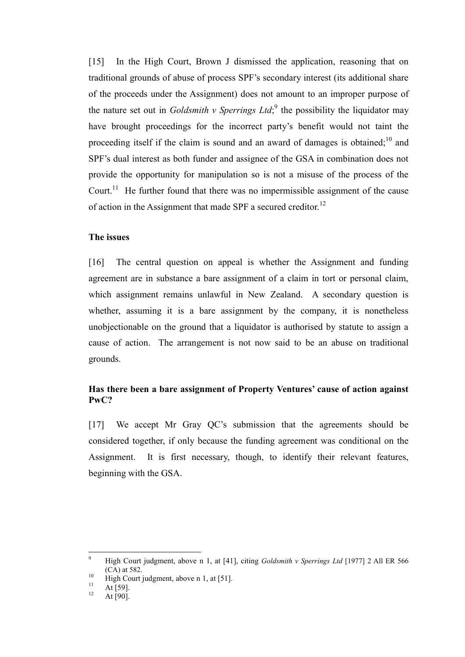[15] In the High Court, Brown J dismissed the application, reasoning that on traditional grounds of abuse of process SPF's secondary interest (its additional share of the proceeds under the Assignment) does not amount to an improper purpose of the nature set out in *Goldsmith v Sperrings Ltd*;<sup>9</sup> the possibility the liquidator may have brought proceedings for the incorrect party's benefit would not taint the proceeding itself if the claim is sound and an award of damages is obtained:  $10^{\circ}$  and SPF's dual interest as both funder and assignee of the GSA in combination does not provide the opportunity for manipulation so is not a misuse of the process of the Court.<sup>11</sup> He further found that there was no impermissible assignment of the cause of action in the Assignment that made SPF a secured creditor.<sup>12</sup>

### **The issues**

[16] The central question on appeal is whether the Assignment and funding agreement are in substance a bare assignment of a claim in tort or personal claim, which assignment remains unlawful in New Zealand. A secondary question is whether, assuming it is a bare assignment by the company, it is nonetheless unobjectionable on the ground that a liquidator is authorised by statute to assign a cause of action. The arrangement is not now said to be an abuse on traditional grounds.

# **Has there been a bare assignment of Property Ventures' cause of action against PwC?**

[17] We accept Mr Gray QC's submission that the agreements should be considered together, if only because the funding agreement was conditional on the Assignment. It is first necessary, though, to identify their relevant features, beginning with the GSA.

 $\overline{a}$ 

<sup>9</sup> High Court judgment, above n [1,](#page-3-0) at [41], citing *Goldsmith v Sperrings Ltd* [1977] 2 All ER 566 (CA) at 582.

<sup>&</sup>lt;sup>10</sup> High Court judgment, above n [1,](#page-3-0) at [51].

 $11$  At [59].

At [90].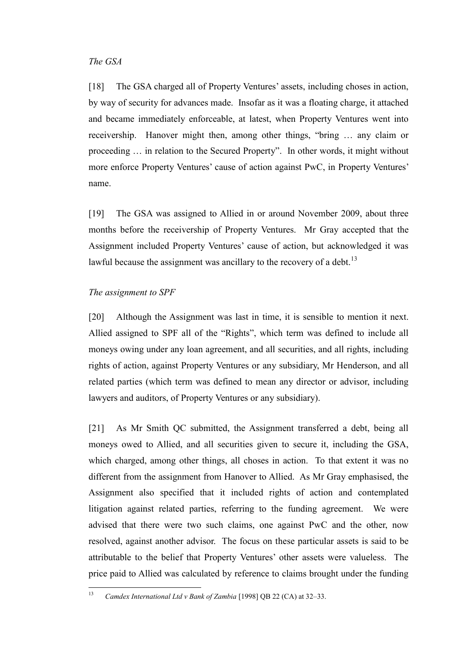### *The GSA*

[18] The GSA charged all of Property Ventures' assets, including choses in action, by way of security for advances made. Insofar as it was a floating charge, it attached and became immediately enforceable, at latest, when Property Ventures went into receivership. Hanover might then, among other things, "bring … any claim or proceeding … in relation to the Secured Property". In other words, it might without more enforce Property Ventures' cause of action against PwC, in Property Ventures' name.

[19] The GSA was assigned to Allied in or around November 2009, about three months before the receivership of Property Ventures. Mr Gray accepted that the Assignment included Property Ventures' cause of action, but acknowledged it was lawful because the assignment was ancillary to the recovery of a debt.<sup>13</sup>

# <span id="page-7-0"></span>*The assignment to SPF*

[20] Although the Assignment was last in time, it is sensible to mention it next. Allied assigned to SPF all of the "Rights", which term was defined to include all moneys owing under any loan agreement, and all securities, and all rights, including rights of action, against Property Ventures or any subsidiary, Mr Henderson, and all related parties (which term was defined to mean any director or advisor, including lawyers and auditors, of Property Ventures or any subsidiary).

[21] As Mr Smith QC submitted, the Assignment transferred a debt, being all moneys owed to Allied, and all securities given to secure it, including the GSA, which charged, among other things, all choses in action. To that extent it was no different from the assignment from Hanover to Allied. As Mr Gray emphasised, the Assignment also specified that it included rights of action and contemplated litigation against related parties, referring to the funding agreement. We were advised that there were two such claims, one against PwC and the other, now resolved, against another advisor. The focus on these particular assets is said to be attributable to the belief that Property Ventures' other assets were valueless. The price paid to Allied was calculated by reference to claims brought under the funding

 $13$ <sup>13</sup> *Camdex International Ltd v Bank of Zambia* [1998] QB 22 (CA) at 32–33.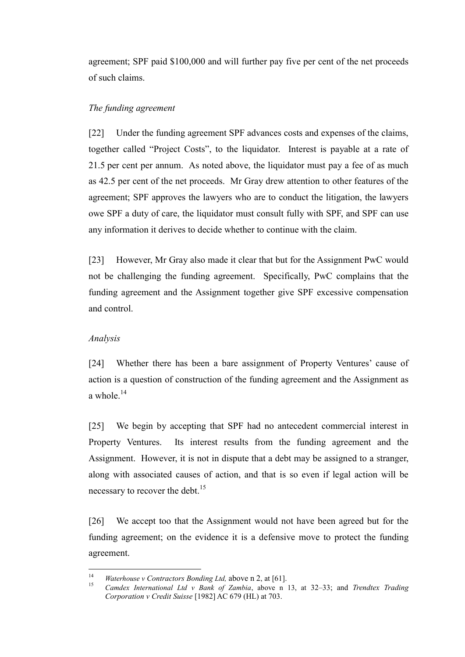agreement; SPF paid \$100,000 and will further pay five per cent of the net proceeds of such claims.

### *The funding agreement*

[22] Under the funding agreement SPF advances costs and expenses of the claims, together called "Project Costs", to the liquidator. Interest is payable at a rate of 21.5 per cent per annum. As noted above, the liquidator must pay a fee of as much as 42.5 per cent of the net proceeds. Mr Gray drew attention to other features of the agreement; SPF approves the lawyers who are to conduct the litigation, the lawyers owe SPF a duty of care, the liquidator must consult fully with SPF, and SPF can use any information it derives to decide whether to continue with the claim.

[23] However, Mr Gray also made it clear that but for the Assignment PwC would not be challenging the funding agreement. Specifically, PwC complains that the funding agreement and the Assignment together give SPF excessive compensation and control.

### *Analysis*

[24] Whether there has been a bare assignment of Property Ventures' cause of action is a question of construction of the funding agreement and the Assignment as a whole. $^{14}$ 

[25] We begin by accepting that SPF had no antecedent commercial interest in Property Ventures. Its interest results from the funding agreement and the Assignment. However, it is not in dispute that a debt may be assigned to a stranger, along with associated causes of action, and that is so even if legal action will be necessary to recover the debt.<sup>15</sup>

[26] We accept too that the Assignment would not have been agreed but for the funding agreement; on the evidence it is a defensive move to protect the funding agreement.

 $14$ <sup>14</sup> *Waterhouse v Contractors Bonding Ltd,* above n [2](#page-4-0), at [61].

<sup>15</sup> *Camdex International Ltd v Bank of Zambia*, above n [13,](#page-7-0) at 32–33; and *Trendtex Trading Corporation v Credit Suisse* [1982] AC 679 (HL) at 703.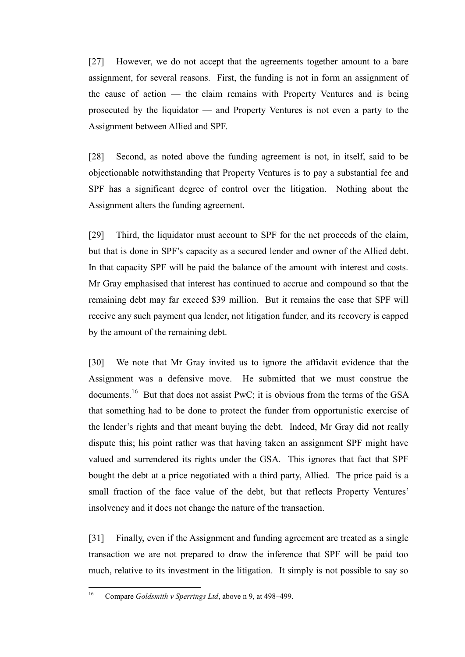[27] However, we do not accept that the agreements together amount to a bare assignment, for several reasons. First, the funding is not in form an assignment of the cause of action — the claim remains with Property Ventures and is being prosecuted by the liquidator — and Property Ventures is not even a party to the Assignment between Allied and SPF.

[28] Second, as noted above the funding agreement is not, in itself, said to be objectionable notwithstanding that Property Ventures is to pay a substantial fee and SPF has a significant degree of control over the litigation. Nothing about the Assignment alters the funding agreement.

[29] Third, the liquidator must account to SPF for the net proceeds of the claim, but that is done in SPF's capacity as a secured lender and owner of the Allied debt. In that capacity SPF will be paid the balance of the amount with interest and costs. Mr Gray emphasised that interest has continued to accrue and compound so that the remaining debt may far exceed \$39 million. But it remains the case that SPF will receive any such payment qua lender, not litigation funder, and its recovery is capped by the amount of the remaining debt.

[30] We note that Mr Gray invited us to ignore the affidavit evidence that the Assignment was a defensive move. He submitted that we must construe the documents.<sup>16</sup> But that does not assist PwC; it is obvious from the terms of the GSA that something had to be done to protect the funder from opportunistic exercise of the lender's rights and that meant buying the debt. Indeed, Mr Gray did not really dispute this; his point rather was that having taken an assignment SPF might have valued and surrendered its rights under the GSA. This ignores that fact that SPF bought the debt at a price negotiated with a third party, Allied. The price paid is a small fraction of the face value of the debt, but that reflects Property Ventures' insolvency and it does not change the nature of the transaction.

[31] Finally, even if the Assignment and funding agreement are treated as a single transaction we are not prepared to draw the inference that SPF will be paid too much, relative to its investment in the litigation. It simply is not possible to say so

 $16$ <sup>16</sup> Compare *Goldsmith v Sperrings Ltd*, above n 9, at 498–499.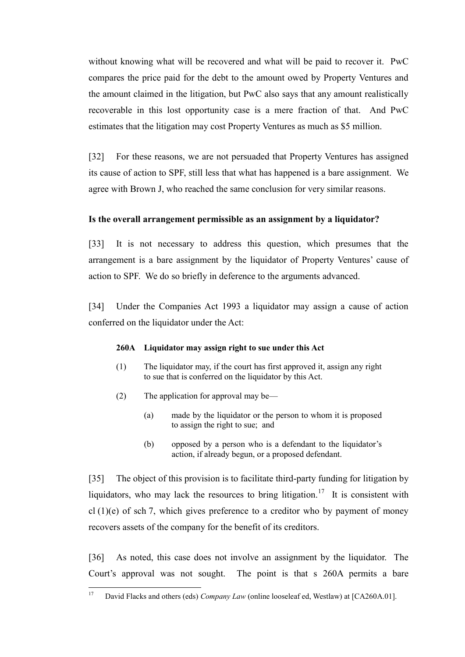without knowing what will be recovered and what will be paid to recover it. PwC compares the price paid for the debt to the amount owed by Property Ventures and the amount claimed in the litigation, but PwC also says that any amount realistically recoverable in this lost opportunity case is a mere fraction of that. And PwC estimates that the litigation may cost Property Ventures as much as \$5 million.

[32] For these reasons, we are not persuaded that Property Ventures has assigned its cause of action to SPF, still less that what has happened is a bare assignment. We agree with Brown J, who reached the same conclusion for very similar reasons.

## **Is the overall arrangement permissible as an assignment by a liquidator?**

[33] It is not necessary to address this question, which presumes that the arrangement is a bare assignment by the liquidator of Property Ventures' cause of action to SPF. We do so briefly in deference to the arguments advanced.

[34] Under the Companies Act 1993 a liquidator may assign a cause of action conferred on the liquidator under the Act:

### **260A Liquidator may assign right to sue under this Act**

- (1) The liquidator may, if the court has first approved it, assign any right to sue that is conferred on the liquidator by this Act.
- (2) The application for approval may be—
	- (a) made by the liquidator or the person to whom it is proposed to assign the right to sue; and
	- (b) opposed by a person who is a defendant to the liquidator's action, if already begun, or a proposed defendant.

[35] The object of this provision is to facilitate third-party funding for litigation by liquidators, who may lack the resources to bring litigation.<sup>17</sup> It is consistent with cl  $(1)(e)$  of sch 7, which gives preference to a creditor who by payment of money recovers assets of the company for the benefit of its creditors.

[36] As noted, this case does not involve an assignment by the liquidator. The Court's approval was not sought. The point is that s 260A permits a bare

 $17$ David Flacks and others (eds) *Company Law* (online looseleaf ed, Westlaw) at [CA260A.01].